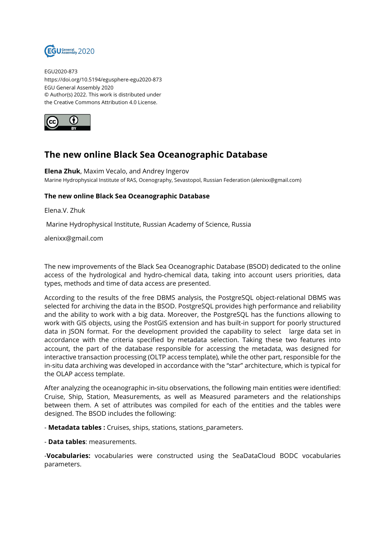

EGU2020-873 https://doi.org/10.5194/egusphere-egu2020-873 EGU General Assembly 2020 © Author(s) 2022. This work is distributed under the Creative Commons Attribution 4.0 License.



## **The new online Black Sea Oceanographic Database**

**Elena Zhuk**, Maxim Vecalo, and Andrey Ingerov Marine Hydrophysical Institute of RAS, Ocenography, Sevastopol, Russian Federation (alenixx@gmail.com)

## **The new online Black Sea Oceanographic Database**

Elena.V. Zhuk

Marine Hydrophysical Institute, Russian Academy of Science, Russia

alenixx@gmail.com

The new improvements of the Black Sea Oceanographic Database (BSOD) dedicated to the online access of the hydrological and hydro-chemical data, taking into account users priorities, data types, methods and time of data access are presented.

According to the results of the free DBMS analysis, the PostgreSQL object-relational DBMS was selected for archiving the data in the BSOD. PostgreSQL provides high performance and reliability and the ability to work with a big data. Moreover, the PostgreSQL has the functions allowing to work with GIS objects, using the PostGIS extension and has built-in support for poorly structured data in JSON format. For the development provided the capability to select large data set in accordance with the criteria specified by metadata selection. Taking these two features into account, the part of the database responsible for accessing the metadata, was designed for interactive transaction processing (OLTP access template), while the other part, responsible for the in-situ data archiving was developed in accordance with the "star" architecture, which is typical for the OLAP access template.

After analyzing the oceanographic in-situ observations, the following main entities were identified: Cruise, Ship, Station, Measurements, as well as Measured parameters and the relationships between them. A set of attributes was compiled for each of the entities and the tables were designed. The BSOD includes the following:

- **Metadata tables :** Cruises, ships, stations, stations\_parameters.

- **Data tables**: measurements.

-**Vocabularies:** vocabularies were constructed using the SeaDataCloud BODC vocabularies parameters.